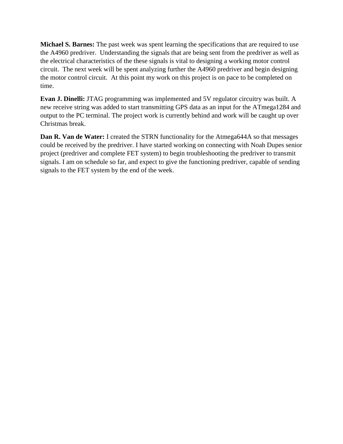**Michael S. Barnes:** The past week was spent learning the specifications that are required to use the A4960 predriver. Understanding the signals that are being sent from the predriver as well as the electrical characteristics of the these signals is vital to designing a working motor control circuit. The next week will be spent analyzing further the A4960 predriver and begin designing the motor control circuit. At this point my work on this project is on pace to be completed on time.

**Evan J. Dinelli:** JTAG programming was implemented and 5V regulator circuitry was built. A new receive string was added to start transmitting GPS data as an input for the ATmega1284 and output to the PC terminal. The project work is currently behind and work will be caught up over Christmas break.

**Dan R. Van de Water:** I created the STRN functionality for the Atmega644A so that messages could be received by the predriver. I have started working on connecting with Noah Dupes senior project (predriver and complete FET system) to begin troubleshooting the predriver to transmit signals. I am on schedule so far, and expect to give the functioning predriver, capable of sending signals to the FET system by the end of the week.